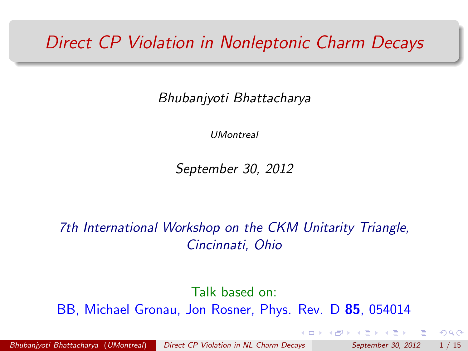#### *Direct CP Violation in Nonleptonic Charm Decays*

Bhubanjyoti Bhattacharya

*UMontreal*

September 30, 2012

7th International Workshop on the CKM Unitarity Triangle, Cincinnati, Ohio

Talk based on: BB, Michael Gronau, Jon Rosner, Phys. Rev. D **[8](#page-1-0)[5](#page-0-0)**, 054014

*Bhubanjyoti Bhattacharya* (*UMontreal*) *[Direct CP Violation in NL Charm Decays](#page-16-0) September 30, 2012* 1 / 15

<span id="page-0-0"></span> $QQ$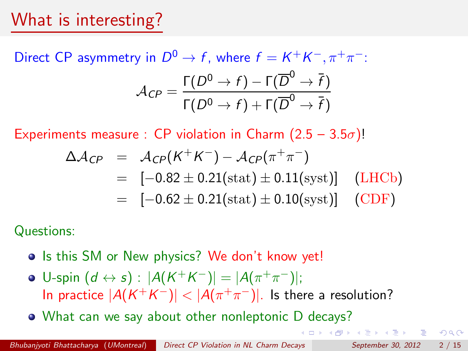#### What is interesting?

Direct CP asymmetry in  $D^0 \to f$ , where  $f = K^+K^-, \pi^+\pi^-$ :  $\mathcal{A}_{\mathcal{CP}} = \frac{\Gamma(D^0 \to f) - \Gamma(\overline{D}^0 \to \overline{f})}{\Gamma(D^0 \to f) + \Gamma(\overline{D}^0 \to \overline{f})}$  $\Gamma(D^0 \to f) + \Gamma(\overline{D}^0 \to \overline{f})$ 

Experiments measure : CP violation in Charm  $(2.5 - 3.5\sigma)!$ 

$$
\Delta A_{CP} = A_{CP}(K^+K^-) - A_{CP}(\pi^+\pi^-)
$$
  
= [-0.82 \pm 0.21(stat) \pm 0.11(syst)] (LHCb)  
= [-0.62 \pm 0.21(stat) \pm 0.10(syst)] (CDF)

Questions:

- **.** Is this SM or New physics? We don't know yet!
- $\bullet$  U-spin  $(d \leftrightarrow s)$ :  $|A(K^+K^-)| = |A(\pi^+\pi^-)|;$ In practice  $|A(K^+K^-)| < |A(\pi^+\pi^-)|$ . Is there a resolution?

What can we say about other nonleptonic D decays?

<span id="page-1-0"></span> $QQ$ 

イ押 トマミト マミト ニヨ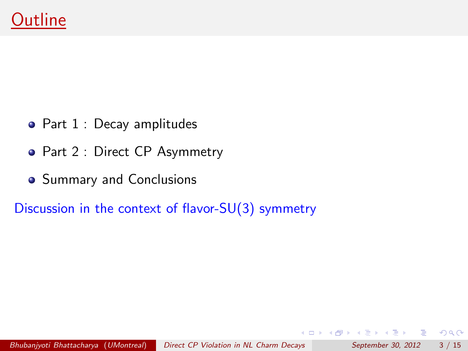- Part 1 : Decay amplitudes
- Part 2 : Direct CP Asymmetry
- Summary and Conclusions

Discussion in the context of flavor-SU(3) symmetry

B

<span id="page-2-0"></span> $QQ$ 

D-X  $\rightarrow$   $\equiv$   $\rightarrow$ 

4 何 ) 4

4 D F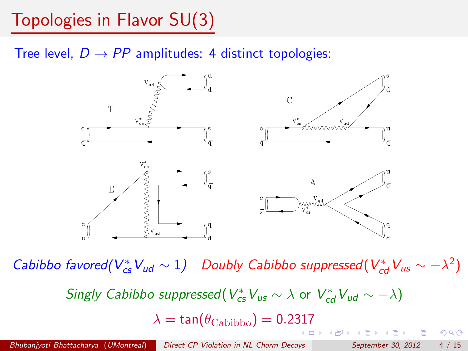Topologies in Flavor SU(3)

Tree level,  $D \rightarrow PP$  amplitudes: 4 distinct topologies:



Cabibbo favored( $V_{cs}^*V_{ud} \sim 1$ ) Doubly Cabibbo suppressed( $V_{cd}^*V_{us} \sim -\lambda^2$ )  $S$ *ingly Cabibbo suppressed*( $V_{cs}^*V_{us} \sim \lambda$  or  $V_{cd}^*V_{ud} \sim -\lambda$ )  $\lambda = \tan(\theta_{\rm Cabibbo})=0.2317$  $\lambda = \tan(\theta_{\rm Cabibbo})=0.2317$  $QQ$  $\square$   $\rightarrow$   $\square$   $\square$   $\rightarrow$   $\square$   $\square$   $\square$   $\square$   $\square$   $\square$   $\square$ - 3

*Bhubanjyoti Bhattacharya* (*UMontreal*) *[Direct CP Violation in NL Charm Decays](#page-0-0) September 30, 2012* 4 / 15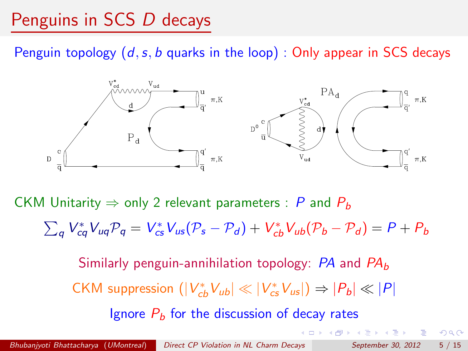# Penguins in SCS *D* decays

Penguin topology  $(d, s, b$  quarks in the loop) : Only appear in SCS decays



CKM Unitarity  $\Rightarrow$  only 2 relevant parameters : P and  $P_b$ 

 $\sum_{q} V_{cq}^{*}V_{uq}P_{q} = V_{cs}^{*}V_{us}(P_{s}-P_{d}) + V_{cb}^{*}V_{ub}(P_{b}-P_{d}) = P + P_{b}$ 

Similarly penguin-annihilation topology: PA and PA*b*  $CKM$  suppression  $(|V_{cb}^*V_{ub}|\ll |V_{cs}^*V_{us}|) \Rightarrow |P_b| \ll |P|$ Ignore  $P_b$  for the discussion of decay rates

- 3

 $QQ$ 

(ロ) (母) (ヨ) (ヨ)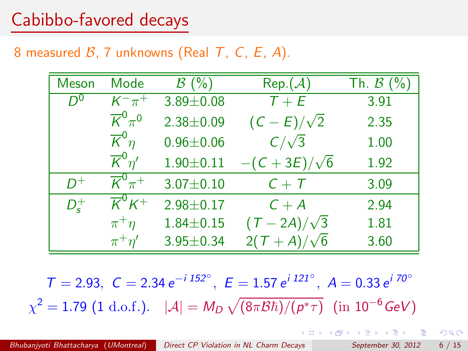#### Cabibbo-favored decays

#### 8 measured  $\beta$ , 7 unknowns (Real T, C, E, A).

| Meson              | Mode                                    | $\mathcal{B}(\%)$ | Rep. (A)           | Th. $\beta$ (%) |
|--------------------|-----------------------------------------|-------------------|--------------------|-----------------|
| $D^0$              | $K^{-}\pi^{+}$                          | $3.89 \pm 0.08$   | $T+E$              | 3.91            |
|                    | $\overline{K}^0_{\pi}$ <sup>0</sup>     | $2.38 + 0.09$     | $(C-E)/\sqrt{2}$   | 2.35            |
|                    | $\overline{\mathcal{K}}^0 \eta$         | $0.96 \pm 0.06$   | $C/\sqrt{3}$       | 1.00            |
|                    | $\overline{\mathcal{K}}^0$ n'           | $1.90 + 0.11$     | $-(C+3E)/\sqrt{6}$ | 1.92            |
| $D^+$              | $\overline{K}^0 \pi^+$                  | $3.07 \pm 0.10$   | $C + T$            | 3.09            |
| $D_{\epsilon}^{+}$ | $\overline{\mathcal{K}}^0\mathcal{K}^+$ | $2.98 \pm 0.17$   | $C + A$            | 2.94            |
|                    | $\pi^+\eta$                             | $1.84 \pm 0.15$   | $(T-2A)/\sqrt{3}$  | 1.81            |
|                    | $\pi^+\eta'$                            | $3.95 \pm 0.34$   | $2(T+A)/\sqrt{6}$  | 3.60            |

 $T = 2.93, \ C = 2.34 e^{-i 152^\circ}, \ E = 1.57 e^{i 121^\circ}, \ A = 0.33 e^{i 70^\circ}$  $\chi^2 = 1.79$  (1 d.o.f.).  $|\mathcal{A}| = M_D \sqrt{(8\pi \mathcal{B}\hbar)/(\rho^*\tau)}$  (in  $10^{-6}$  GeV)

**YO A HE YEAR A HE YOUR**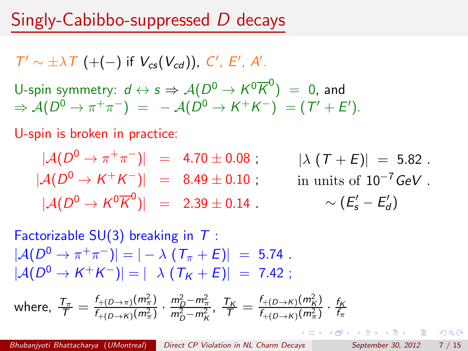#### Singly-Cabibbo-suppressed *D* decays

 $T' \sim \pm \lambda T$  (+(-) if  $V_{cs}(V_{cd})$ ), C', E', A'. U-spin symmetry:  $d \leftrightarrow s \Rightarrow \mathcal{A}(D^0 \to K^0 \overline{K}^0) = 0$ , and  $\Rightarrow$   $A(D^0 \rightarrow \pi^+ \pi^-) = -A(D^0 \rightarrow K^+ K^-) = (T' + E').$ 

U-spin is broken in practice:

$$
|A(D^{0} \to \pi^{+}\pi^{-})| = 4.70 \pm 0.08 ; \qquad |\lambda (T + E)| = 5.82 .
$$
  
\n
$$
|A(D^{0} \to K^{+}K^{-})| = 8.49 \pm 0.10 ; \qquad \text{in units of } 10^{-7} \text{ GeV} .
$$
  
\n
$$
|A(D^{0} \to K^{0}\overline{K}^{0})| = 2.39 \pm 0.14 . \qquad \sim (E'_{s} - E'_{d})
$$

Factorizable  $SU(3)$  breaking in T:  $|\mathcal{A}(D^0 \to \pi^+ \pi^-)| = | - \lambda (T_{\pi} + E)| = 5.74$ .  $|A(D^0 \to K^+ K^-)| = |\lambda (T_K + E)| = 7.42$ :

where, 
$$
\frac{T_{\pi}}{T} = \frac{f_{+(D \to \pi)}(m_{\pi}^2)}{f_{+(D \to K)}(m_{\pi}^2)} \cdot \frac{m_D^2 - m_{\pi}^2}{m_D^2 - m_K^2}
$$
,  $\frac{T_K}{T} = \frac{f_{+(D \to K)}(m_K^2)}{f_{+(D \to K)}(m_{\pi}^2)} \cdot \frac{f_K}{f_{\pi}}$ 

<span id="page-6-0"></span>KEL KEL KELKEL KELKEL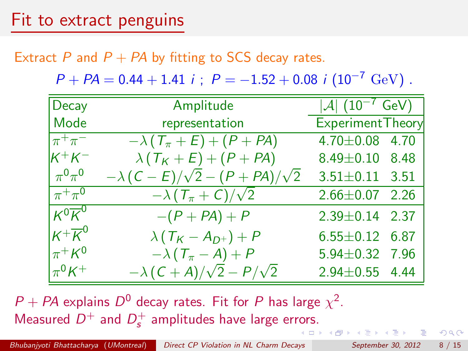Extract P and  $P + PA$  by fitting to SCS decay rates.

 $P + PA = 0.44 + 1.41$  i;  $P = -1.52 + 0.08$  i  $(10^{-7} \text{ GeV})$ .

| Decay               | <b>Example 1 Amplitude</b>                  | $ \mathcal{A} $ $(10^{-7} \text{ GeV})$ |  |
|---------------------|---------------------------------------------|-----------------------------------------|--|
| Mode                | representation                              | Experiment Theory                       |  |
| $\pi^+\pi^-$        | $-\lambda(T_{\pi}+E)+(P+PA)$                | $4.70 \pm 0.08$ 4.70                    |  |
| $K^+K^-$            | $\lambda(T_K + E) + (P + PA)$               | $8.49 \pm 0.10$ 8.48                    |  |
| $\pi^0\pi^0$        | $-\lambda (C-E)/\sqrt{2} - (P+PA)/\sqrt{2}$ | $3.51 \pm 0.11$ 3.51                    |  |
| $\pi^+\pi^0$        | $-\lambda(T_{\pi}+C)/\sqrt{2}$              | $2.66 \pm 0.07$ 2.26                    |  |
| $K^0\overline{K}^0$ | $-(P+PA)+P$                                 | $2.39 \pm 0.14$ 2.37                    |  |
| $K^+\overline{K}^0$ | $\lambda(T_K-A_{D^+})+P$                    | $6.55 \pm 0.12$ 6.87                    |  |
| $\pi^+ K^0$         | $-\lambda(T_{\pi}-A)+P$                     | 5.94±0.32 7.96                          |  |
| $\pi^0 K^+$         | $-\lambda (C+A)/\sqrt{2}-P/\sqrt{2}$        | $2.94 \pm 0.55$ 4.44                    |  |

 $P + PA$  explains  $D^0$  decay rates. Fit for P has large  $\chi^2$ . Measured  $D^+$  and  $D_s^+$  amplitudes have large er[ror](#page-6-0)s[.](#page-8-0)

 $QQ$ 

 $\left\{ \frac{1}{2} \right\}$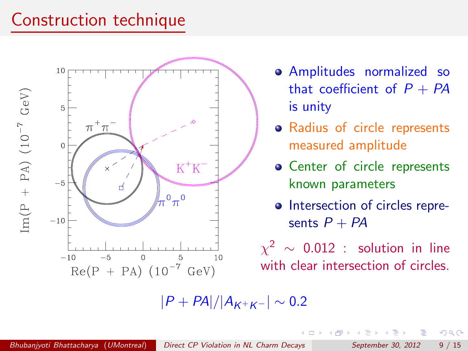## Construction technique



- Amplitudes normalized so that coefficient of  $P + PA$ is unity
- Radius of circle represents measured amplitude
- Center of circle represents known parameters
- Intersection of circles represents  $P + PA$

 $\chi^2$  ~ 0.012 : solution in line with clear intersection of circles.

 $|P + PA|/|A_{K+K-}| \sim 0.2$ 

B

<span id="page-8-0"></span> $QQ$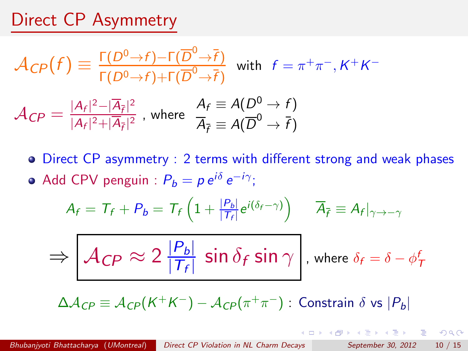#### Direct CP Asymmetry

$$
\mathcal{A}_{CP}(f) \equiv \frac{\Gamma(D^0 \to f) - \Gamma(\overline{D}^0 \to \overline{f})}{\Gamma(D^0 \to f) + \Gamma(\overline{D}^0 \to \overline{f})} \text{ with } f = \pi^+ \pi^-, K^+ K^-
$$

$$
\mathcal{A}_{CP} = \frac{|A_f|^2 - |\overline{A}_{\overline{f}}|^2}{|A_f|^2 + |\overline{A}_{\overline{f}}|^2}, \text{ where } \frac{A_f}{\overline{A}_{\overline{f}}} = A(\overline{D}^0 \to \overline{f})
$$

Direct CP asymmetry : 2 terms with different strong and weak phases  $\bullet$  Add CPV penguin :  $P_b = p e^{i\delta} e^{-i\gamma}$ ;

$$
A_f = T_f + P_b = T_f \left( 1 + \frac{|P_b|}{|T_f|} e^{i(\delta_f - \gamma)} \right) \quad \overline{A}_{\overline{f}} \equiv A_f|_{\gamma \to -\gamma}
$$

$$
\Rightarrow \boxed{\mathcal{A}_{CP} \approx 2\,\frac{|P_b|}{|\mathcal{T}_f|}\,\sin\delta_f\sin\gamma}, \text{ where } \delta_f = \delta - \phi^f_{\mathcal{T}}
$$

 $\Delta A_{CP} \equiv A_{CP}(K^+K^-) - A_{CP}(\pi^+\pi^-)$ : Constrain  $\delta$  vs  $|P_b|$ 

K ロ ▶ K @ ▶ K 할 ▶ K 할 ▶ . 할 → 9 Q @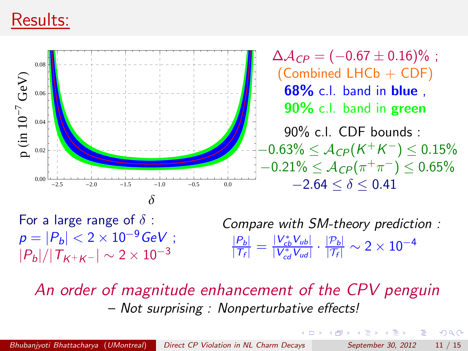#### Results:



For a large range of  $\delta$  :  $p = |P_b| < 2 \times 10^{-9}$  GeV ;  $|P_h|/|T_{K^+K^-}| \sim 2 \times 10^{-3}$ Compare with SM-theory prediction :  $\frac{|P_b|}{|T_f|} = \frac{|V_{cb}^* V_{ub}|}{|V_{cd}^* V_{ud}|}$  $\frac{|V_{cb}^+ V_{ub}|}{|V_{cd}^* V_{ud}|} \cdot \frac{|\mathcal{P}_b|}{|\mathcal{T}_f|} \sim 2 \times 10^{-4}$ 

An order of magnitude enhancement of the CPV penguin – Not surprising : Nonperturbative effects!

ラメ メラメ

 $QQ$ 

œ.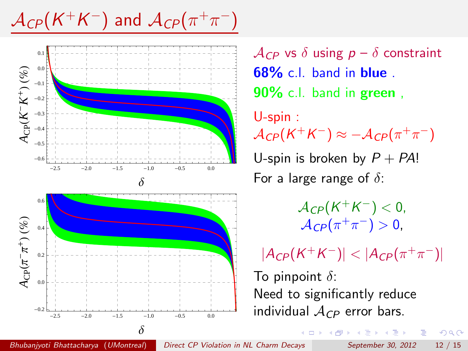$\mathcal{A}_{CP}(K^+K^-)$  and  $\mathcal{A}_{CP}(\pi^+\pi^-)$ 



 $\mathcal{A}_{CP}$  vs  $\delta$  using  $p - \delta$  constraint **68%** c.l. band in **blue** . **90%** c.l. band in **green** , U-spin :  $\mathcal{A}_{CP}(K^+K^-) \approx -\mathcal{A}_{CP}(\pi^+\pi^-)$ U-spin is broken by  $P + PA!$ For a large range of  $\delta$ :

> $A_{CP}(K^+K^-) < 0$ ,  $A_{CP}(\pi^+\pi^-) > 0$ ,

 $|A_{CP}(K^+K^-)| < |A_{CP}(\pi^+\pi^-)|$ To pinpoint  $\delta$ : Need to significantly reduce individual A*CP* error bars.

*Bhubanjyoti Bhattacharya* (*UMontreal*) *[Direct CP Violation in NL Charm Decays](#page-0-0) September 30, 2012* 12 / 15

 $QQ$ 

ヨメ メヨメ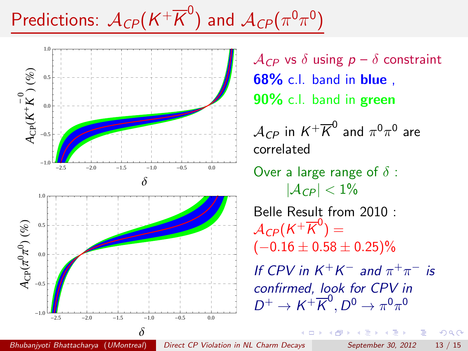# Predictions:  $\mathcal{A}_{CP}(K^+\overline{K}^0)$  and  $\mathcal{A}_{CP}(\pi^0\pi^0)$



 $\mathcal{A}_{CP}$  vs  $\delta$  using  $p - \delta$  constraint **68%** c.l. band in **blue** , **90%** c.l. band in **green**

 $A_{CD}$  in  $K^+ \overline{K}^0$  and  $\pi^0 \pi^0$  are correlated

Over a large range of  $\delta$  :  $|A_{CP}| < 1\%$ 

Belle Result from 2010 :  $A_{CP}(K^+\overline{K}^0)=$  $(-0.16 \pm 0.58 \pm 0.25)\%$ 

If CPV in  $K^+K^-$  and  $\pi^+\pi^-$  is confirmed, look for CPV in  $D^+ \to K^+ \overline{K}^0, D^0 \to \pi^0 \pi^0$ 

*Bhubanjyoti Bhattacharya* (*UMontreal*) *[Direct CP Violation in NL Charm Decays](#page-0-0) September 30, 2012* 13 / 15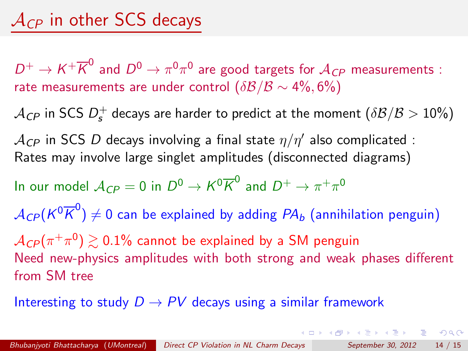$D^+ \to K^+ \overline{K}^0$  and  $D^0 \to \pi^0 \pi^0$  are good targets for  $\mathcal{A}_{CP}$  measurements : rate measurements are under control  $(\delta \mathcal{B}/\mathcal{B} \sim 4\%, 6\%)$ 

 $\mathcal{A}_{\textit{CP}}$  in SCS  $D_{\textit{s}}^{+}$  decays are harder to predict at the moment  $(\delta \mathcal{B}/\mathcal{B}>10\%)$ 

 $A_{CP}$  in SCS D decays involving a final state  $\eta/\eta'$  also complicated : Rates may involve large singlet amplitudes (disconnected diagrams)

In our model  $A_{CP} = 0$  in  $D^0 \rightarrow K^0 \overline{K}^0$  and  $D^+ \rightarrow \pi^+ \pi^0$ 

 $\mathcal{A}_{\text{\emph{CP}}}(\text{\emph{K}}^0\overline{\text{\emph{K}}}^0) \neq 0$  can be explained by adding  $\text{\emph{PA}}_b$  (annihilation penguin)

 $\mathcal{A}_{\mathcal{CP}}(\pi^+\pi^0) \gtrsim 0.1\%$  cannot be explained by a SM penguin Need new-physics amplitudes with both strong and weak phases different from SM tree

K ロ ▶ K @ ▶ K 할 ▶ K 할 ▶ . 할 → 9 Q @

Interesting to study  $D \to PV$  decays using a similar framework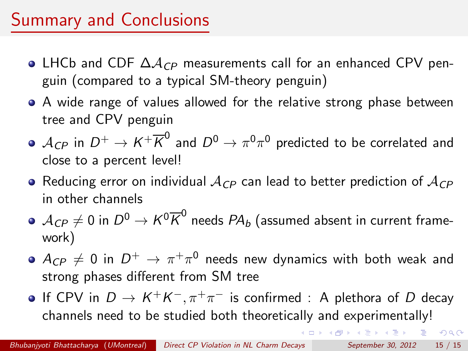## Summary and Conclusions

- LHCb and CDF ΔA*CP* measurements call for an enhanced CPV penguin (compared to a typical SM-theory penguin)
- A wide range of values allowed for the relative strong phase between tree and CPV penguin
- $\bullet$   $A_{CP}$  in  $D^+ \to K^+ \overline{K}^0$  and  $D^0 \to \pi^0 \pi^0$  predicted to be correlated and close to a percent level!
- Reducing error on individual A*CP* can lead to better prediction of A*CP* in other channels
- $\bullet$   $\mathcal{A}_{CP} \neq 0$  in  $D^0 \rightarrow \mathcal{K}^0 \overline{\mathcal{K}}^0$  needs  $PA_b$  (assumed absent in current framework)
- $\bullet$   $A_{CP} \neq 0$  in  $D^+ \rightarrow \pi^+\pi^0$  needs new dynamics with both weak and strong phases different from SM tree
- If CPV in  $D \to K^+K^-, \pi^+\pi^-$  is confirmed : A plethora of D decay channels need to be studied both theoretically and experimentally!

 $\Box$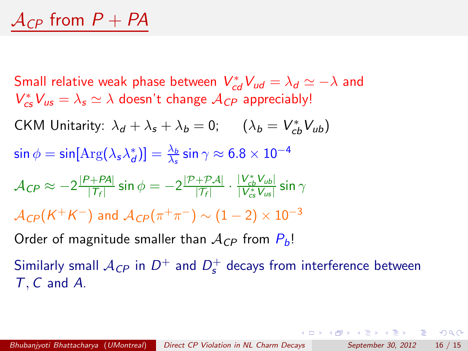$S$ mall relative weak phase between  $V_{cd}^*V_{ud} = \lambda_d \simeq -\lambda$  and  $V_{cs}^{*}V_{us} = \lambda_s \simeq \lambda$  doesn't change  $\mathcal{A}_{CP}$  appreciably! CKM Unitarity:  $\lambda_d + \lambda_s + \lambda_b = 0$ ;  $(\lambda_b = V_{cb}^* V_{ub})$  $\sin \phi = \sin [ \text{Arg} (\lambda_s \lambda_d^*) ] = \frac{\lambda_b}{\lambda_s} \sin \gamma \approx 6.8 \times 10^{-4}$  $\mathcal{A}_{\textit{CP}} \approx -2\frac{|P+P\mathcal{A}|}{|T_f|}\sin\phi = -2\frac{|P+P\mathcal{A}|}{|T_f|}\cdot\frac{|V_{cb}^*V_{ub}|}{|V_{cs}^*V_{us}|}$  $\frac{|V_{cb}V_{ub}|}{|V_{cs}^*V_{us}|}$  sin  $\gamma$  $A_{CP}(K^+K^-)$  and  $A_{CP}(\pi^+\pi^-) \sim (1-2) \times 10^{-3}$ Order of magnitude smaller than  $A_{CP}$  from  $P_b!$ 

Similarly small  $\mathcal{A}_{CP}$  in  $D^+$  and  $D_s^+$  decays from interference between T, C and A.

<span id="page-15-0"></span>K ロ > K 個 > K 로 > K 로 > C 로 → K O Q @